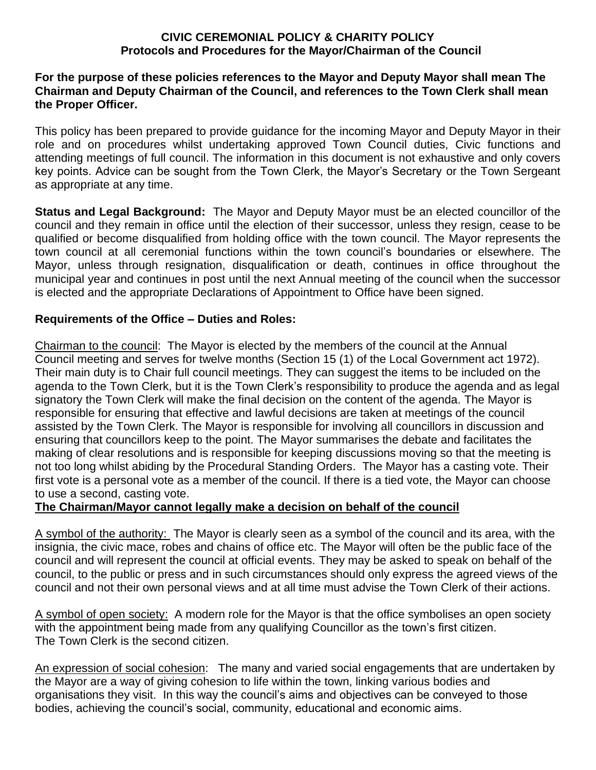## **CIVIC CEREMONIAL POLICY & CHARITY POLICY Protocols and Procedures for the Mayor/Chairman of the Council**

## **For the purpose of these policies references to the Mayor and Deputy Mayor shall mean The Chairman and Deputy Chairman of the Council, and references to the Town Clerk shall mean the Proper Officer.**

This policy has been prepared to provide guidance for the incoming Mayor and Deputy Mayor in their role and on procedures whilst undertaking approved Town Council duties, Civic functions and attending meetings of full council. The information in this document is not exhaustive and only covers key points. Advice can be sought from the Town Clerk, the Mayor's Secretary or the Town Sergeant as appropriate at any time.

**Status and Legal Background:** The Mayor and Deputy Mayor must be an elected councillor of the council and they remain in office until the election of their successor, unless they resign, cease to be qualified or become disqualified from holding office with the town council. The Mayor represents the town council at all ceremonial functions within the town council's boundaries or elsewhere. The Mayor, unless through resignation, disqualification or death, continues in office throughout the municipal year and continues in post until the next Annual meeting of the council when the successor is elected and the appropriate Declarations of Appointment to Office have been signed.

## **Requirements of the Office – Duties and Roles:**

Chairman to the council: The Mayor is elected by the members of the council at the Annual Council meeting and serves for twelve months (Section 15 (1) of the Local Government act 1972). Their main duty is to Chair full council meetings. They can suggest the items to be included on the agenda to the Town Clerk, but it is the Town Clerk's responsibility to produce the agenda and as legal signatory the Town Clerk will make the final decision on the content of the agenda. The Mayor is responsible for ensuring that effective and lawful decisions are taken at meetings of the council assisted by the Town Clerk. The Mayor is responsible for involving all councillors in discussion and ensuring that councillors keep to the point. The Mayor summarises the debate and facilitates the making of clear resolutions and is responsible for keeping discussions moving so that the meeting is not too long whilst abiding by the Procedural Standing Orders. The Mayor has a casting vote. Their first vote is a personal vote as a member of the council. If there is a tied vote, the Mayor can choose to use a second, casting vote.

## **The Chairman/Mayor cannot legally make a decision on behalf of the council**

A symbol of the authority: The Mayor is clearly seen as a symbol of the council and its area, with the insignia, the civic mace, robes and chains of office etc. The Mayor will often be the public face of the council and will represent the council at official events. They may be asked to speak on behalf of the council, to the public or press and in such circumstances should only express the agreed views of the council and not their own personal views and at all time must advise the Town Clerk of their actions.

A symbol of open society: A modern role for the Mayor is that the office symbolises an open society with the appointment being made from any qualifying Councillor as the town's first citizen. The Town Clerk is the second citizen.

An expression of social cohesion: The many and varied social engagements that are undertaken by the Mayor are a way of giving cohesion to life within the town, linking various bodies and organisations they visit. In this way the council's aims and objectives can be conveyed to those bodies, achieving the council's social, community, educational and economic aims.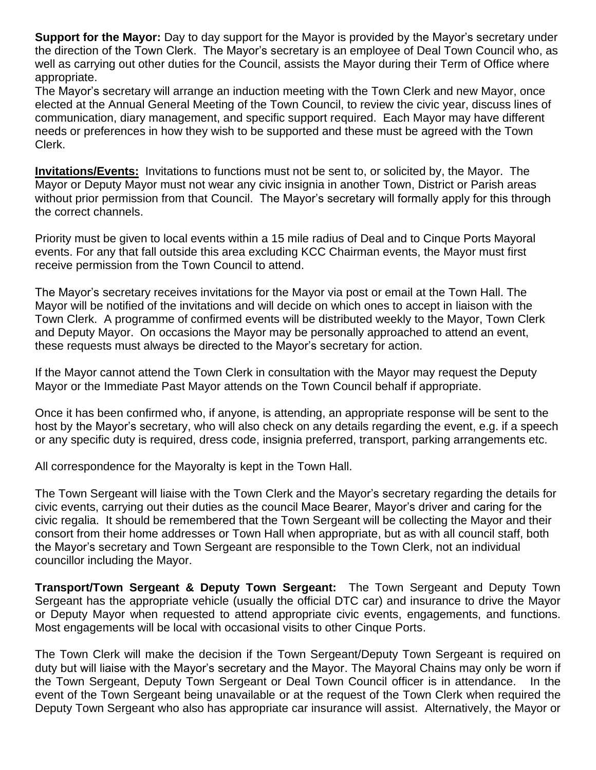**Support for the Mayor:** Day to day support for the Mayor is provided by the Mayor's secretary under the direction of the Town Clerk. The Mayor's secretary is an employee of Deal Town Council who, as well as carrying out other duties for the Council, assists the Mayor during their Term of Office where appropriate.

The Mayor's secretary will arrange an induction meeting with the Town Clerk and new Mayor, once elected at the Annual General Meeting of the Town Council, to review the civic year, discuss lines of communication, diary management, and specific support required. Each Mayor may have different needs or preferences in how they wish to be supported and these must be agreed with the Town Clerk.

**Invitations/Events:** Invitations to functions must not be sent to, or solicited by, the Mayor. The Mayor or Deputy Mayor must not wear any civic insignia in another Town, District or Parish areas without prior permission from that Council. The Mayor's secretary will formally apply for this through the correct channels.

Priority must be given to local events within a 15 mile radius of Deal and to Cinque Ports Mayoral events. For any that fall outside this area excluding KCC Chairman events, the Mayor must first receive permission from the Town Council to attend.

The Mayor's secretary receives invitations for the Mayor via post or email at the Town Hall. The Mayor will be notified of the invitations and will decide on which ones to accept in liaison with the Town Clerk. A programme of confirmed events will be distributed weekly to the Mayor, Town Clerk and Deputy Mayor. On occasions the Mayor may be personally approached to attend an event, these requests must always be directed to the Mayor's secretary for action.

If the Mayor cannot attend the Town Clerk in consultation with the Mayor may request the Deputy Mayor or the Immediate Past Mayor attends on the Town Council behalf if appropriate.

Once it has been confirmed who, if anyone, is attending, an appropriate response will be sent to the host by the Mayor's secretary, who will also check on any details regarding the event, e.g. if a speech or any specific duty is required, dress code, insignia preferred, transport, parking arrangements etc.

All correspondence for the Mayoralty is kept in the Town Hall.

The Town Sergeant will liaise with the Town Clerk and the Mayor's secretary regarding the details for civic events, carrying out their duties as the council Mace Bearer, Mayor's driver and caring for the civic regalia. It should be remembered that the Town Sergeant will be collecting the Mayor and their consort from their home addresses or Town Hall when appropriate, but as with all council staff, both the Mayor's secretary and Town Sergeant are responsible to the Town Clerk, not an individual councillor including the Mayor.

**Transport/Town Sergeant & Deputy Town Sergeant:** The Town Sergeant and Deputy Town Sergeant has the appropriate vehicle (usually the official DTC car) and insurance to drive the Mayor or Deputy Mayor when requested to attend appropriate civic events, engagements, and functions. Most engagements will be local with occasional visits to other Cinque Ports.

The Town Clerk will make the decision if the Town Sergeant/Deputy Town Sergeant is required on duty but will liaise with the Mayor's secretary and the Mayor. The Mayoral Chains may only be worn if the Town Sergeant, Deputy Town Sergeant or Deal Town Council officer is in attendance. In the event of the Town Sergeant being unavailable or at the request of the Town Clerk when required the Deputy Town Sergeant who also has appropriate car insurance will assist. Alternatively, the Mayor or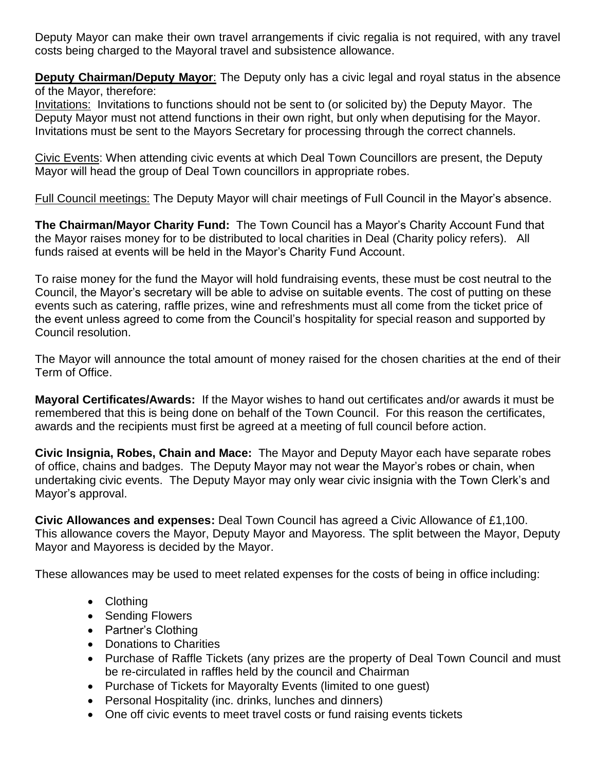Deputy Mayor can make their own travel arrangements if civic regalia is not required, with any travel costs being charged to the Mayoral travel and subsistence allowance.

**Deputy Chairman/Deputy Mayor**: The Deputy only has a civic legal and royal status in the absence of the Mayor, therefore:

Invitations: Invitations to functions should not be sent to (or solicited by) the Deputy Mayor. The Deputy Mayor must not attend functions in their own right, but only when deputising for the Mayor. Invitations must be sent to the Mayors Secretary for processing through the correct channels.

Civic Events: When attending civic events at which Deal Town Councillors are present, the Deputy Mayor will head the group of Deal Town councillors in appropriate robes.

Full Council meetings: The Deputy Mayor will chair meetings of Full Council in the Mayor's absence.

**The Chairman/Mayor Charity Fund:** The Town Council has a Mayor's Charity Account Fund that the Mayor raises money for to be distributed to local charities in Deal (Charity policy refers). All funds raised at events will be held in the Mayor's Charity Fund Account.

To raise money for the fund the Mayor will hold fundraising events, these must be cost neutral to the Council, the Mayor's secretary will be able to advise on suitable events. The cost of putting on these events such as catering, raffle prizes, wine and refreshments must all come from the ticket price of the event unless agreed to come from the Council's hospitality for special reason and supported by Council resolution.

The Mayor will announce the total amount of money raised for the chosen charities at the end of their Term of Office.

**Mayoral Certificates/Awards:** If the Mayor wishes to hand out certificates and/or awards it must be remembered that this is being done on behalf of the Town Council. For this reason the certificates, awards and the recipients must first be agreed at a meeting of full council before action.

**Civic Insignia, Robes, Chain and Mace:** The Mayor and Deputy Mayor each have separate robes of office, chains and badges. The Deputy Mayor may not wear the Mayor's robes or chain, when undertaking civic events. The Deputy Mayor may only wear civic insignia with the Town Clerk's and Mayor's approval.

**Civic Allowances and expenses:** Deal Town Council has agreed a Civic Allowance of £1,100. This allowance covers the Mayor, Deputy Mayor and Mayoress. The split between the Mayor, Deputy Mayor and Mayoress is decided by the Mayor.

These allowances may be used to meet related expenses for the costs of being in office including:

- Clothing
- Sending Flowers
- Partner's Clothing
- Donations to Charities
- Purchase of Raffle Tickets (any prizes are the property of Deal Town Council and must be re-circulated in raffles held by the council and Chairman
- Purchase of Tickets for Mayoralty Events (limited to one guest)
- Personal Hospitality (inc. drinks, lunches and dinners)
- One off civic events to meet travel costs or fund raising events tickets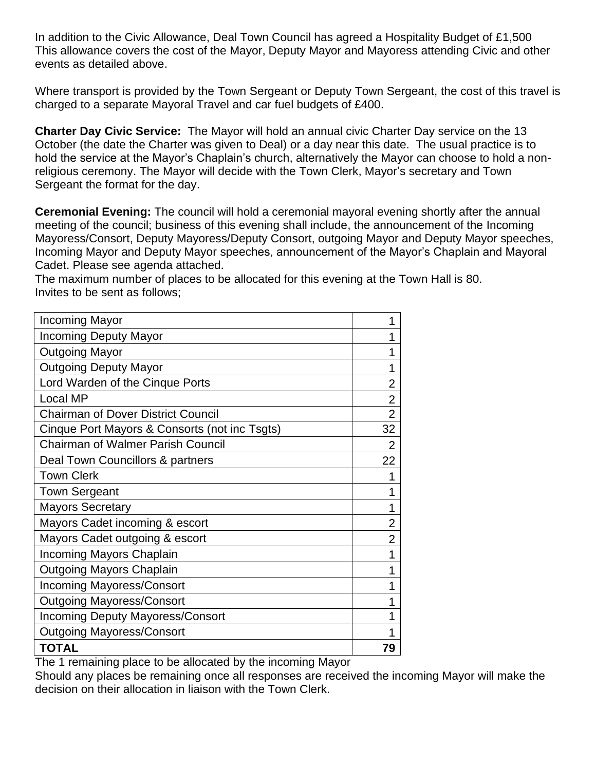In addition to the Civic Allowance, Deal Town Council has agreed a Hospitality Budget of £1,500 This allowance covers the cost of the Mayor, Deputy Mayor and Mayoress attending Civic and other events as detailed above.

Where transport is provided by the Town Sergeant or Deputy Town Sergeant, the cost of this travel is charged to a separate Mayoral Travel and car fuel budgets of £400.

**Charter Day Civic Service:** The Mayor will hold an annual civic Charter Day service on the 13 October (the date the Charter was given to Deal) or a day near this date. The usual practice is to hold the service at the Mayor's Chaplain's church, alternatively the Mayor can choose to hold a nonreligious ceremony. The Mayor will decide with the Town Clerk, Mayor's secretary and Town Sergeant the format for the day.

**Ceremonial Evening:** The council will hold a ceremonial mayoral evening shortly after the annual meeting of the council; business of this evening shall include, the announcement of the Incoming Mayoress/Consort, Deputy Mayoress/Deputy Consort, outgoing Mayor and Deputy Mayor speeches, Incoming Mayor and Deputy Mayor speeches, announcement of the Mayor's Chaplain and Mayoral Cadet. Please see agenda attached.

The maximum number of places to be allocated for this evening at the Town Hall is 80. Invites to be sent as follows;

| <b>Incoming Mayor</b>                                                                                                                         | 1              |
|-----------------------------------------------------------------------------------------------------------------------------------------------|----------------|
| <b>Incoming Deputy Mayor</b>                                                                                                                  | 1              |
| <b>Outgoing Mayor</b>                                                                                                                         | 1              |
| <b>Outgoing Deputy Mayor</b>                                                                                                                  | 1              |
| Lord Warden of the Cinque Ports                                                                                                               | $\overline{2}$ |
| <b>Local MP</b>                                                                                                                               | $\overline{2}$ |
| <b>Chairman of Dover District Council</b>                                                                                                     | $\overline{2}$ |
| Cinque Port Mayors & Consorts (not inc Tsgts)                                                                                                 | 32             |
| <b>Chairman of Walmer Parish Council</b>                                                                                                      | $\overline{2}$ |
| Deal Town Councillors & partners                                                                                                              | 22             |
| <b>Town Clerk</b>                                                                                                                             | 1              |
| <b>Town Sergeant</b>                                                                                                                          | 1              |
| <b>Mayors Secretary</b>                                                                                                                       | 1              |
| Mayors Cadet incoming & escort                                                                                                                | 2              |
| Mayors Cadet outgoing & escort                                                                                                                | 2              |
| <b>Incoming Mayors Chaplain</b>                                                                                                               | 1              |
| <b>Outgoing Mayors Chaplain</b>                                                                                                               | 1              |
| <b>Incoming Mayoress/Consort</b>                                                                                                              | 1              |
| <b>Outgoing Mayoress/Consort</b>                                                                                                              | 1              |
| <b>Incoming Deputy Mayoress/Consort</b>                                                                                                       | 1              |
| <b>Outgoing Mayoress/Consort</b>                                                                                                              | 1              |
| <b>TOTAL</b><br><b>Contract Contract Contract Contract Contract</b><br>$\blacksquare$<br>$\cdots$<br>and the state of the state of the<br>. . | 79             |

The 1 remaining place to be allocated by the incoming Mayor

Should any places be remaining once all responses are received the incoming Mayor will make the decision on their allocation in liaison with the Town Clerk.